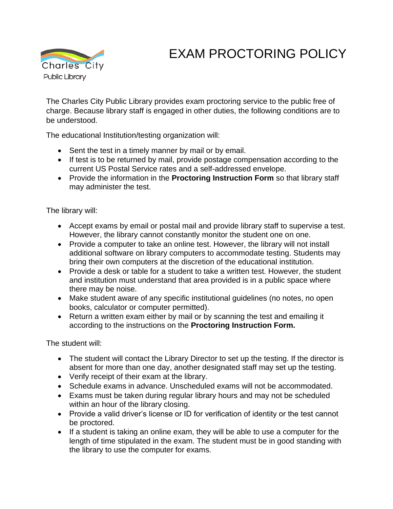## **Charles City** Public Library

## EXAM PROCTORING POLICY

The Charles City Public Library provides exam proctoring service to the public free of charge. Because library staff is engaged in other duties, the following conditions are to be understood.

The educational Institution/testing organization will:

- Sent the test in a timely manner by mail or by email.
- If test is to be returned by mail, provide postage compensation according to the current US Postal Service rates and a self-addressed envelope.
- Provide the information in the **Proctoring Instruction Form** so that library staff may administer the test.

The library will:

- Accept exams by email or postal mail and provide library staff to supervise a test. However, the library cannot constantly monitor the student one on one.
- Provide a computer to take an online test. However, the library will not install additional software on library computers to accommodate testing. Students may bring their own computers at the discretion of the educational institution.
- Provide a desk or table for a student to take a written test. However, the student and institution must understand that area provided is in a public space where there may be noise.
- Make student aware of any specific institutional quidelines (no notes, no open books, calculator or computer permitted).
- Return a written exam either by mail or by scanning the test and emailing it according to the instructions on the **Proctoring Instruction Form.**

The student will:

- The student will contact the Library Director to set up the testing. If the director is absent for more than one day, another designated staff may set up the testing.
- Verify receipt of their exam at the library.
- Schedule exams in advance. Unscheduled exams will not be accommodated.
- Exams must be taken during regular library hours and may not be scheduled within an hour of the library closing.
- Provide a valid driver's license or ID for verification of identity or the test cannot be proctored.
- If a student is taking an online exam, they will be able to use a computer for the length of time stipulated in the exam. The student must be in good standing with the library to use the computer for exams.